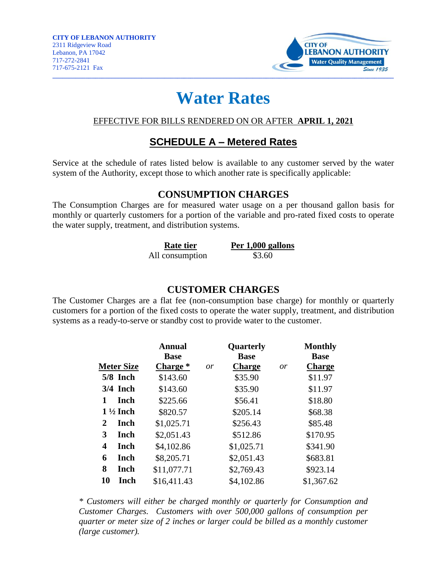

# **Water Rates**

#### EFFECTIVE FOR BILLS RENDERED ON OR AFTER **APRIL 1, 2021**

## **SCHEDULE A – Metered Rates**

Service at the schedule of rates listed below is available to any customer served by the water system of the Authority, except those to which another rate is specifically applicable:

#### **CONSUMPTION CHARGES**

The Consumption Charges are for measured water usage on a per thousand gallon basis for monthly or quarterly customers for a portion of the variable and pro-rated fixed costs to operate the water supply, treatment, and distribution systems.

| <b>Rate tier</b> | Per 1,000 gallons |  |  |
|------------------|-------------------|--|--|
| All consumption  | \$3.60            |  |  |

#### **CUSTOMER CHARGES**

The Customer Charges are a flat fee (non-consumption base charge) for monthly or quarterly customers for a portion of the fixed costs to operate the water supply, treatment, and distribution systems as a ready-to-serve or standby cost to provide water to the customer.

|    |                     | <b>Annual</b> |    | Quarterly     |    | <b>Monthly</b> |
|----|---------------------|---------------|----|---------------|----|----------------|
|    |                     | <b>Base</b>   |    | <b>Base</b>   |    | <b>Base</b>    |
|    | <b>Meter Size</b>   | Charge *      | or | <b>Charge</b> | 0r | <b>Charge</b>  |
|    | 5/8 Inch            | \$143.60      |    | \$35.90       |    | \$11.97        |
|    | $3/4$ Inch          | \$143.60      |    | \$35.90       |    | \$11.97        |
| 1  | Inch                | \$225.66      |    | \$56.41       |    | \$18.80        |
|    | $1\frac{1}{2}$ Inch | \$820.57      |    | \$205.14      |    | \$68.38        |
| 2  | Inch                | \$1,025.71    |    | \$256.43      |    | \$85.48        |
| 3  | Inch                | \$2,051.43    |    | \$512.86      |    | \$170.95       |
| 4  | Inch                | \$4,102.86    |    | \$1,025.71    |    | \$341.90       |
| 6  | Inch                | \$8,205.71    |    | \$2,051.43    |    | \$683.81       |
| 8  | Inch                | \$11,077.71   |    | \$2,769.43    |    | \$923.14       |
| 10 | Inch                | \$16,411.43   |    | \$4,102.86    |    | \$1,367.62     |

*\* Customers will either be charged monthly or quarterly for Consumption and Customer Charges. Customers with over 500,000 gallons of consumption per quarter or meter size of 2 inches or larger could be billed as a monthly customer (large customer).*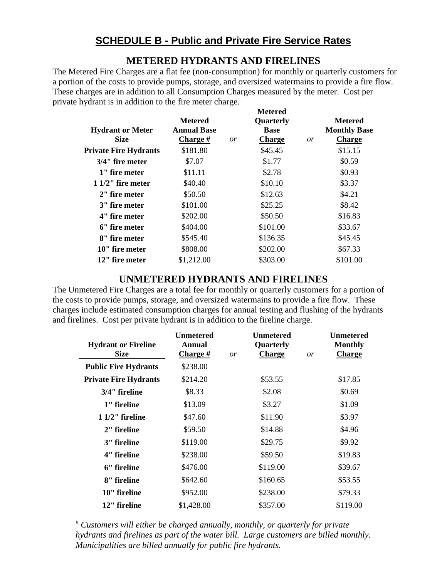## **METERED HYDRANTS AND FIRELINES**

The Metered Fire Charges are a flat fee (non-consumption) for monthly or quarterly customers for a portion of the costs to provide pumps, storage, and oversized watermains to provide a fire flow. These charges are in addition to all Consumption Charges measured by the meter. Cost per private hydrant is in addition to the fire meter charge.

| <b>Hydrant or Meter</b><br><b>Size</b> | <b>Metered</b><br><b>Annual Base</b><br>Charge # | <i>or</i> | <b>Metered</b><br>Quarterly<br><b>Base</b><br><b>Charge</b> | or | <b>Metered</b><br><b>Monthly Base</b><br><b>Charge</b> |
|----------------------------------------|--------------------------------------------------|-----------|-------------------------------------------------------------|----|--------------------------------------------------------|
| <b>Private Fire Hydrants</b>           | \$181.80                                         |           | \$45.45                                                     |    | \$15.15                                                |
| 3/4" fire meter                        | \$7.07                                           |           | \$1.77                                                      |    | \$0.59                                                 |
| 1" fire meter                          | \$11.11                                          |           | \$2.78                                                      |    | \$0.93                                                 |
| $11/2$ " fire meter                    | \$40.40                                          |           | \$10.10                                                     |    | \$3.37                                                 |
| 2" fire meter                          | \$50.50                                          |           | \$12.63                                                     |    | \$4.21                                                 |
| 3" fire meter                          | \$101.00                                         |           | \$25.25                                                     |    | \$8.42                                                 |
| 4" fire meter                          | \$202.00                                         |           | \$50.50                                                     |    | \$16.83                                                |
| 6" fire meter                          | \$404.00                                         |           | \$101.00                                                    |    | \$33.67                                                |
| 8" fire meter                          | \$545.40                                         |           | \$136.35                                                    |    | \$45.45                                                |
| 10" fire meter                         | \$808.00                                         |           | \$202.00                                                    |    | \$67.33                                                |
| 12" fire meter                         | \$1,212.00                                       |           | \$303.00                                                    |    | \$101.00                                               |

#### **UNMETERED HYDRANTS AND FIRELINES**

The Unmetered Fire Charges are a total fee for monthly or quarterly customers for a portion of the costs to provide pumps, storage, and oversized watermains to provide a fire flow. These charges include estimated consumption charges for annual testing and flushing of the hydrants and firelines. Cost per private hydrant is in addition to the fireline charge.

|                              | <b>Unmetered</b> |           | Unmetered     |           | <b>Unmetered</b> |
|------------------------------|------------------|-----------|---------------|-----------|------------------|
| <b>Hydrant or Fireline</b>   | <b>Annual</b>    |           | Quarterly     |           | <b>Monthly</b>   |
| <b>Size</b>                  | <b>Charge</b> #  | <i>or</i> | <b>Charge</b> | <i>or</i> | <b>Charge</b>    |
| <b>Public Fire Hydrants</b>  | \$238.00         |           |               |           |                  |
| <b>Private Fire Hydrants</b> | \$214.20         |           | \$53.55       |           | \$17.85          |
| 3/4" fireline                | \$8.33           |           | \$2.08        |           | \$0.69           |
| 1" fireline                  | \$13.09          |           | \$3.27        |           | \$1.09           |
| $11/2$ " fireline            | \$47.60          |           | \$11.90       |           | \$3.97           |
| 2" fireline                  | \$59.50          |           | \$14.88       |           | \$4.96           |
| 3" fireline                  | \$119.00         |           | \$29.75       |           | \$9.92           |
| 4" fireline                  | \$238.00         |           | \$59.50       |           | \$19.83          |
| 6" fireline                  | \$476.00         |           | \$119.00      |           | \$39.67          |
| 8" fireline                  | \$642.60         |           | \$160.65      |           | \$53.55          |
| 10" fireline                 | \$952.00         |           | \$238.00      |           | \$79.33          |
| 12" fireline                 | \$1,428.00       |           | \$357.00      |           | \$119.00         |

# *Customers will either be charged annually, monthly, or quarterly for private hydrants and firelines as part of the water bill. Large customers are billed monthly. Municipalities are billed annually for public fire hydrants.*